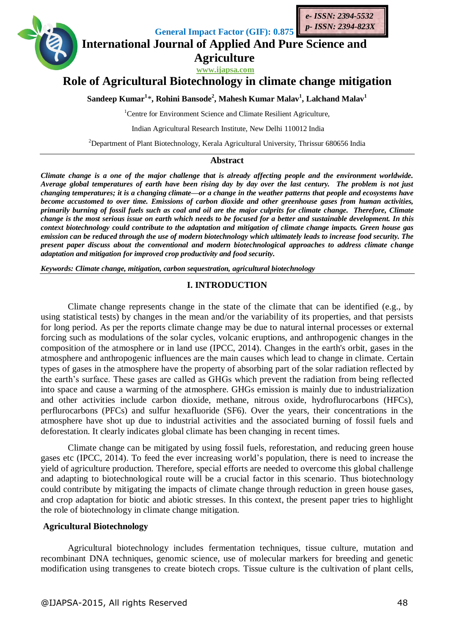



**General Impact Factor (GIF): 0.875**

# **International Journal of Applied And Pure Science and Agriculture**

**www.ijapsa.com**

# **Role of Agricultural Biotechnology in climate change mitigation**

**Sandeep Kumar<sup>1</sup>** \***, Rohini Bansode<sup>2</sup> , Mahesh Kumar Malav<sup>1</sup> , Lalchand Malav<sup>1</sup>**

<sup>1</sup>Centre for Environment Science and Climate Resilient Agriculture,

Indian Agricultural Research Institute, New Delhi 110012 India

<sup>2</sup>Department of Plant Biotechnology, Kerala Agricultural University, Thrissur 680656 India

#### **Abstract**

*Climate change is a one of the major challenge that is already affecting people and the environment worldwide. Average global temperatures of earth have been rising day by day over the last century. The problem is not just changing temperatures; it is a changing climate—or a change in the weather patterns that people and ecosystems have become accustomed to over time. Emissions of carbon dioxide and other greenhouse gases from human activities, primarily burning of fossil fuels such as coal and oil are the major culprits for climate change. Therefore, Climate change is the most serious issue on earth which needs to be focused for a better and sustainable development. In this context biotechnology could contribute to the adaptation and mitigation of climate change impacts. Green house gas emission can be reduced through the use of modern biotechnology which ultimately leads to increase food security. The present paper discuss about the conventional and modern biotechnological approaches to address climate change adaptation and mitigation for improved crop productivity and food security.*

*Keywords: Climate change, mitigation, carbon sequestration, agricultural biotechnology*

#### **I. INTRODUCTION**

Climate change represents change in the state of the climate that can be identified (e.g., by using statistical tests) by changes in the mean and/or the variability of its properties, and that persists for long period. As per the reports climate change may be due to natural internal processes or external forcing such as modulations of the solar cycles, volcanic eruptions, and anthropogenic changes in the composition of the atmosphere or in land use (IPCC, 2014). Changes in the earth's orbit, gases in the atmosphere and anthropogenic influences are the main causes which lead to change in climate. Certain types of gases in the atmosphere have the property of absorbing part of the solar radiation reflected by the earth's surface. These gases are called as GHGs which prevent the radiation from being reflected into space and cause a warming of the atmosphere. GHGs emission is mainly due to industrialization and other activities include carbon dioxide, methane, nitrous oxide, hydroflurocarbons (HFCs), perflurocarbons (PFCs) and sulfur hexafluoride (SF6). Over the years, their concentrations in the atmosphere have shot up due to industrial activities and the associated burning of fossil fuels and deforestation. It clearly indicates global climate has been changing in recent times.

Climate change can be mitigated by using fossil fuels, reforestation, and reducing green house gases etc (IPCC, 2014). To feed the ever increasing world's population, there is need to increase the yield of agriculture production. Therefore, special efforts are needed to overcome this global challenge and adapting to biotechnological route will be a crucial factor in this scenario. Thus biotechnology could contribute by mitigating the impacts of climate change through reduction in green house gases, and crop adaptation for biotic and abiotic stresses. In this context, the present paper tries to highlight the role of biotechnology in climate change mitigation.

#### **Agricultural Biotechnology**

Agricultural biotechnology includes fermentation techniques, tissue culture, mutation and recombinant DNA techniques, genomic science, use of molecular markers for breeding and genetic modification using transgenes to create biotech crops. Tissue culture is the cultivation of plant cells,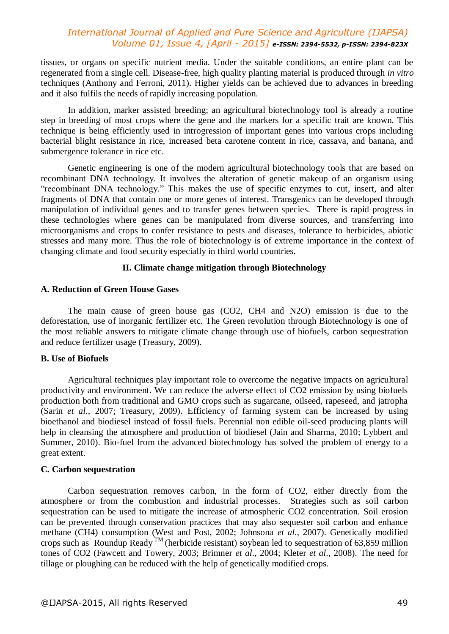tissues, or organs on specific nutrient media. Under the suitable conditions, an entire plant can be regenerated from a single cell. Disease-free, high quality planting material is produced through *in vitro*  techniques (Anthony and Ferroni, 2011). Higher yields can be achieved due to advances in breeding and it also fulfils the needs of rapidly increasing population.

In addition, marker assisted breeding; an agricultural biotechnology tool is already a routine step in breeding of most crops where the gene and the markers for a specific trait are known. This technique is being efficiently used in introgression of important genes into various crops including bacterial blight resistance in rice, increased beta carotene content in rice, cassava, and banana, and submergence tolerance in rice etc.

Genetic engineering is one of the modern agricultural biotechnology tools that are based on recombinant DNA technology. It involves the alteration of genetic makeup of an organism using "recombinant DNA technology." This makes the use of specific enzymes to cut, insert, and alter fragments of DNA that contain one or more genes of interest. Transgenics can be developed through manipulation of individual genes and to transfer genes between species. There is rapid progress in these technologies where genes can be manipulated from diverse sources, and transferring into microorganisms and crops to confer resistance to pests and diseases, tolerance to herbicides, abiotic stresses and many more. Thus the role of biotechnology is of extreme importance in the context of changing climate and food security especially in third world countries.

#### **II. Climate change mitigation through Biotechnology**

#### **A. Reduction of Green House Gases**

The main cause of green house gas (CO2, CH4 and N2O) emission is due to the deforestation, use of inorganic fertilizer etc. The Green revolution through Biotechnology is one of the most reliable answers to mitigate climate change through use of biofuels, carbon sequestration and reduce fertilizer usage (Treasury, 2009).

#### **B. Use of Biofuels**

Agricultural techniques play important role to overcome the negative impacts on agricultural productivity and environment. We can reduce the adverse effect of CO2 emission by using biofuels production both from traditional and GMO crops such as sugarcane, oilseed, rapeseed, and jatropha (Sarin *et al*., 2007; Treasury, 2009). Efficiency of farming system can be increased by using bioethanol and biodiesel instead of fossil fuels. Perennial non edible oil-seed producing plants will help in cleansing the atmosphere and production of biodiesel (Jain and Sharma, 2010; Lybbert and Summer, 2010). Bio-fuel from the advanced biotechnology has solved the problem of energy to a great extent.

#### **C. Carbon sequestration**

Carbon sequestration removes carbon, in the form of CO2, either directly from the atmosphere or from the combustion and industrial processes. Strategies such as soil carbon sequestration can be used to mitigate the increase of atmospheric CO2 concentration. Soil erosion can be prevented through conservation practices that may also sequester soil carbon and enhance methane (CH4) consumption (West and Post, 2002; Johnsona *et al*., 2007). Genetically modified crops such as Roundup Ready  $\overline{M}$  (herbicide resistant) soybean led to sequestration of 63,859 million tones of CO2 (Fawcett and Towery, 2003; Brimner *et al*., 2004; Kleter *et al*., 2008). The need for tillage or ploughing can be reduced with the help of genetically modified crops.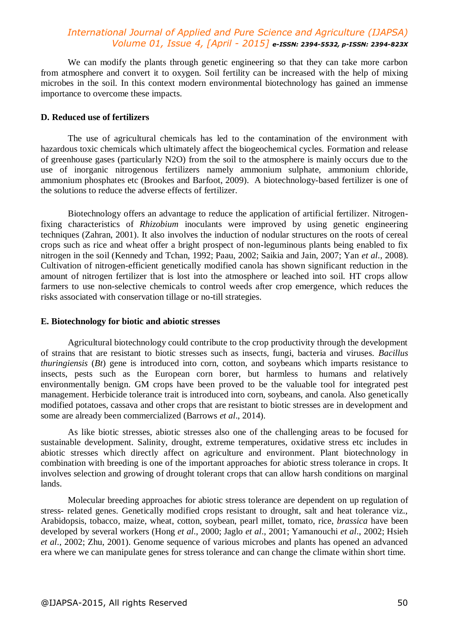We can modify the plants through genetic engineering so that they can take more carbon from atmosphere and convert it to oxygen. Soil fertility can be increased with the help of mixing microbes in the soil. In this context modern environmental biotechnology has gained an immense importance to overcome these impacts.

#### **D. Reduced use of fertilizers**

The use of agricultural chemicals has led to the contamination of the environment with hazardous toxic chemicals which ultimately affect the biogeochemical cycles. Formation and release of greenhouse gases (particularly N2O) from the soil to the atmosphere is mainly occurs due to the use of inorganic nitrogenous fertilizers namely ammonium sulphate, ammonium chloride, ammonium phosphates etc (Brookes and Barfoot, 2009). A biotechnology-based fertilizer is one of the solutions to reduce the adverse effects of fertilizer.

Biotechnology offers an advantage to reduce the application of artificial fertilizer. Nitrogenfixing characteristics of *Rhizobium* inoculants were improved by using genetic engineering techniques (Zahran, 2001). It also involves the induction of nodular structures on the roots of cereal crops such as rice and wheat offer a bright prospect of non-leguminous plants being enabled to fix nitrogen in the soil (Kennedy and Tchan, 1992; Paau, 2002; Saikia and Jain, 2007; Yan *et al*., 2008). Cultivation of nitrogen-efficient genetically modified canola has shown significant reduction in the amount of nitrogen fertilizer that is lost into the atmosphere or leached into soil. HT crops allow farmers to use non-selective chemicals to control weeds after crop emergence, which reduces the risks associated with conservation tillage or no-till strategies.

#### **E. Biotechnology for biotic and abiotic stresses**

Agricultural biotechnology could contribute to the crop productivity through the development of strains that are resistant to biotic stresses such as insects, fungi, bacteria and viruses. *Bacillus thuringiensis* (*Bt*) gene is introduced into corn, cotton, and soybeans which imparts resistance to insects, pests such as the European corn borer, but harmless to humans and relatively environmentally benign. GM crops have been proved to be the valuable tool for integrated pest management. Herbicide tolerance trait is introduced into corn, soybeans, and canola. Also genetically modified potatoes, cassava and other crops that are resistant to biotic stresses are in development and some are already been commercialized (Barrows *et al*., 2014).

As like biotic stresses, abiotic stresses also one of the challenging areas to be focused for sustainable development. Salinity, drought, extreme temperatures, oxidative stress etc includes in abiotic stresses which directly affect on agriculture and environment. Plant biotechnology in combination with breeding is one of the important approaches for abiotic stress tolerance in crops. It involves selection and growing of drought tolerant crops that can allow harsh conditions on marginal lands.

Molecular breeding approaches for abiotic stress tolerance are dependent on up regulation of stress- related genes. Genetically modified crops resistant to drought, salt and heat tolerance viz., Arabidopsis, tobacco, maize, wheat, cotton, soybean, pearl millet, tomato, rice, *brassica* have been developed by several workers (Hong *et al*., 2000; Jaglo *et al*., 2001; Yamanouchi *et al*., 2002; Hsieh *et al*., 2002; Zhu, 2001). Genome sequence of various microbes and plants has opened an advanced era where we can manipulate genes for stress tolerance and can change the climate within short time.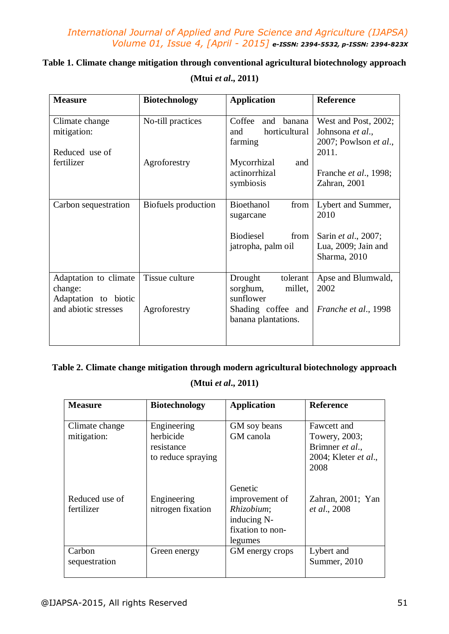# **Table 1. Climate change mitigation through conventional agricultural biotechnology approach**

| <b>Measure</b>                                                                   | <b>Biotechnology</b>           | <b>Application</b>                                                                                   | <b>Reference</b>                                                                         |
|----------------------------------------------------------------------------------|--------------------------------|------------------------------------------------------------------------------------------------------|------------------------------------------------------------------------------------------|
| Climate change<br>mitigation:                                                    | No-till practices              | Coffee<br>and<br>banana<br>horticultural<br>and<br>farming                                           | West and Post, 2002;<br>Johnsona et al.,<br>2007; Powlson et al.,                        |
| Reduced use of<br>fertilizer                                                     | Agroforestry                   | Mycorrhizal<br>and<br>actinorrhizal<br>symbiosis                                                     | 2011.<br>Franche et al., 1998;<br>Zahran, 2001                                           |
| Carbon sequestration                                                             | Biofuels production            | Bioethanol<br>from<br>sugarcane<br>Biodiesel<br>from<br>jatropha, palm oil                           | Lybert and Summer,<br>2010<br>Sarin et al., 2007;<br>Lua, 2009; Jain and<br>Sharma, 2010 |
| Adaptation to climate<br>change:<br>Adaptation to biotic<br>and abiotic stresses | Tissue culture<br>Agroforestry | tolerant<br>Drought<br>sorghum,<br>millet,<br>sunflower<br>Shading coffee and<br>banana plantations. | Apse and Blumwald,<br>2002<br>Franche et al., 1998                                       |

## **(Mtui** *et al***., 2011)**

# **Table 2. Climate change mitigation through modern agricultural biotechnology approach**

# **(Mtui** *et al***., 2011)**

| <b>Measure</b>                | <b>Biotechnology</b>                                         | <b>Application</b>                                                                    | <b>Reference</b>                                                                |
|-------------------------------|--------------------------------------------------------------|---------------------------------------------------------------------------------------|---------------------------------------------------------------------------------|
| Climate change<br>mitigation: | Engineering<br>herbicide<br>resistance<br>to reduce spraying | GM soy beans<br>GM canola                                                             | Fawcett and<br>Towery, 2003;<br>Brimner et al.,<br>2004; Kleter et al.,<br>2008 |
| Reduced use of<br>fertilizer  | Engineering<br>nitrogen fixation                             | Genetic<br>improvement of<br>Rhizobium;<br>inducing N-<br>fixation to non-<br>legumes | Zahran, 2001; Yan<br>et al., 2008                                               |
| Carbon<br>sequestration       | Green energy                                                 | GM energy crops                                                                       | Lybert and<br>Summer, 2010                                                      |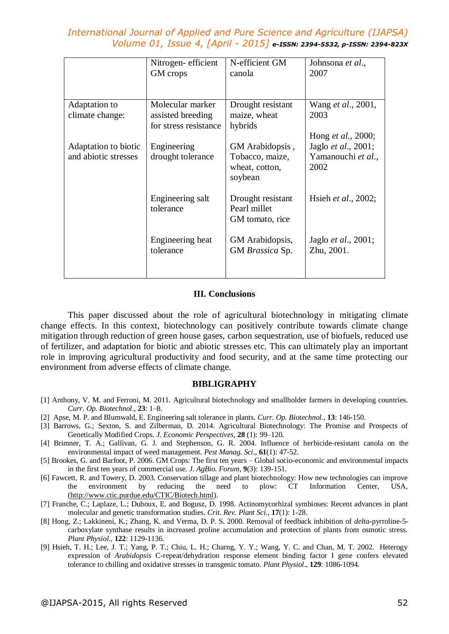|                                              | Nitrogen-efficient<br>GM crops                                 | N-efficient GM<br>canola                                        | Johnsona et al.,<br>2007                                         |
|----------------------------------------------|----------------------------------------------------------------|-----------------------------------------------------------------|------------------------------------------------------------------|
| Adaptation to<br>climate change:             | Molecular marker<br>assisted breeding<br>for stress resistance | Drought resistant<br>maize, wheat<br>hybrids                    | Wang <i>et al.</i> , 2001,<br>2003<br>Hong <i>et al.</i> , 2000; |
| Adaptation to biotic<br>and abiotic stresses | Engineering<br>drought tolerance                               | GM Arabidopsis,<br>Tobacco, maize,<br>wheat, cotton,<br>soybean | Jaglo et al., 2001;<br>Yamanouchi et al.,<br>2002                |
|                                              | Engineering salt<br>tolerance                                  | Drought resistant<br>Pearl millet<br>GM tomato, rice            | Hsieh et al., 2002;                                              |
|                                              | Engineering heat<br>tolerance                                  | GM Arabidopsis,<br>GM Brassica Sp.                              | Jaglo et al., 2001;<br>Zhu, 2001.                                |

#### **III. Conclusions**

This paper discussed about the role of agricultural biotechnology in mitigating climate change effects. In this context, biotechnology can positively contribute towards climate change mitigation through reduction of green house gases, carbon sequestration, use of biofuels, reduced use of fertilizer, and adaptation for biotic and abiotic stresses etc. This can ultimately play an important role in improving agricultural productivity and food security, and at the same time protecting our environment from adverse effects of climate change.

#### **BIBLIGRAPHY**

- [1] Anthony, V. M. and Ferroni, M. 2011. Agricultural biotechnology and smallholder farmers in developing countries. *Curr. Op. Biotechnol*., **23**: 1–8.
- [2] Apse, M. P. and Blumwald, E. Engineering salt tolerance in plants. *Curr. Op. Biotechnol*., **13**: 146-150.
- [3] Barrows, G.; Sexton, S. and Zilberman, D. 2014. Agricultural Biotechnology: The Promise and Prospects of Genetically Modified Crops. *J. Economic Perspectives*, **28** (1): 99–120.
- [4] Brimner, T. A.; Gallivan, G. J. and Stephenson, G. R. 2004. Influence of herbicide-resistant canola on the environmental impact of weed management. *Pest Manag. Sci*., **61**(1): 47-52.
- [5] Brookes, G. and Barfoot, P. 2006. GM Crops: The first ten years Global socio-economic and environmental impacts in the first ten years of commercial use. *J. AgBio. Forum*, **9**(3): 139-151.
- [6] Fawcett, R. and Towery, D. 2003. Conservation tillage and plant biotechnology: How new technologies can improve the environment by reducing the need to plow: CT Information Center, USA, [\(http://www.ctic.purdue.edu/CTIC/Biotech.html\)](http://www.ctic.purdue.edu/CTIC/Biotech.html).
- [7] Franche, C.; Laplaze, L.; Duhoux, E. and Bogusz, D. 1998. Actinomycorhizal symbioses: Recent advances in plant molecular and genetic transformation studies. *Crit. Rev. Plant Sci.*, **17**(1): 1-28.
- [8] Hong, Z.; Lakkineni, K.; Zhang, K. and Verma, D. P. S. 2000. Removal of feedback inhibition of *delta*-pyrroline-5 carboxylate synthase results in increased proline accumulation and protection of plants from osmotic stress. *Plant Physiol.,* **122**: 1129-1136.
- [9] Hsieh, T. H.; Lee, J. T.; Yang, P. T.; Chiu, L. H.; Charng, Y. Y.; Wang, Y. C. and Chan, M. T. 2002. Heterogy expression of *Arabidopsis* C-repeat/dehydration response element binding factor I gene confers elevated tolerance to chilling and oxidative stresses in transgenic tomato. *Plant Physiol*., **129**: 1086-1094.